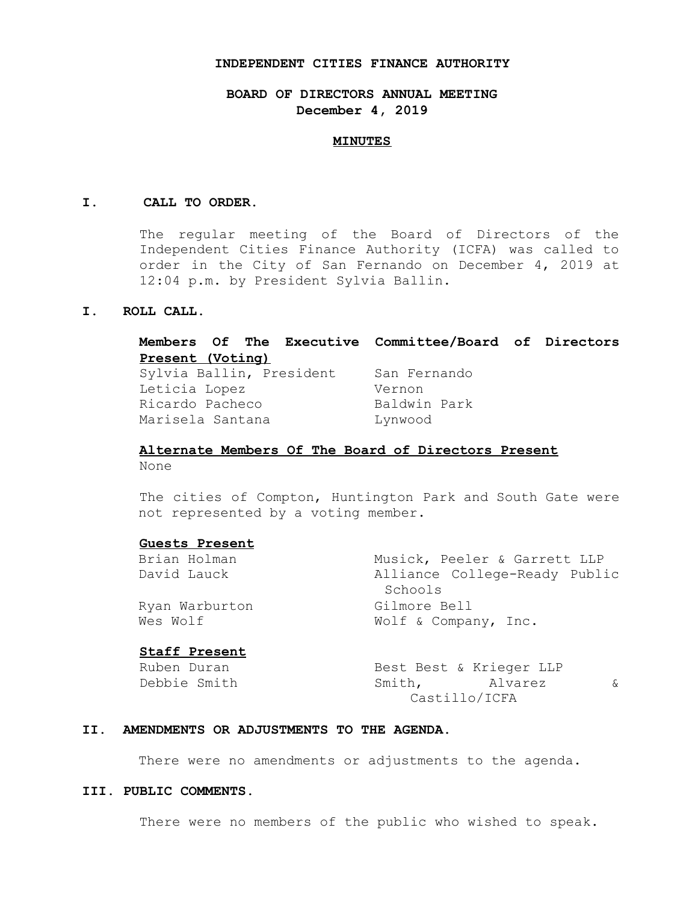### **INDEPENDENT CITIES FINANCE AUTHORITY**

# **BOARD OF DIRECTORS ANNUAL MEETING December 4, 2019**

### **MINUTES**

### **I. CALL TO ORDER.**

The regular meeting of the Board of Directors of the Independent Cities Finance Authority (ICFA) was called to order in the City of San Fernando on December 4, 2019 at 12:04 p.m. by President Sylvia Ballin.

## **I. ROLL CALL.**

# **Members Of The Executive Committee/Board of Directors Present (Voting)**  Sylvia Ballin, President San Fernando Leticia Lopez Vernon Ricardo Pacheco Baldwin Park Marisela Santana Lynwood

# **Alternate Members Of The Board of Directors Present**  None

The cities of Compton, Huntington Park and South Gate were not represented by a voting member.

**Guests Present**  Musick, Peeler & Garrett LLP David Lauck Alliance College-Ready Public Schools Ryan Warburton Gilmore Bell Wes Wolf  $\omega$  Wolf & Company, Inc. **Staff Present** 

| Ruben Duran  | Best Best & Krieger LLP |  |          |
|--------------|-------------------------|--|----------|
| Debbie Smith | Smith, Alvarez          |  | $\kappa$ |
|              | Castillo/ICFA           |  |          |

## **II. AMENDMENTS OR ADJUSTMENTS TO THE AGENDA.**

There were no amendments or adjustments to the agenda.

### **III. PUBLIC COMMENTS.**

There were no members of the public who wished to speak.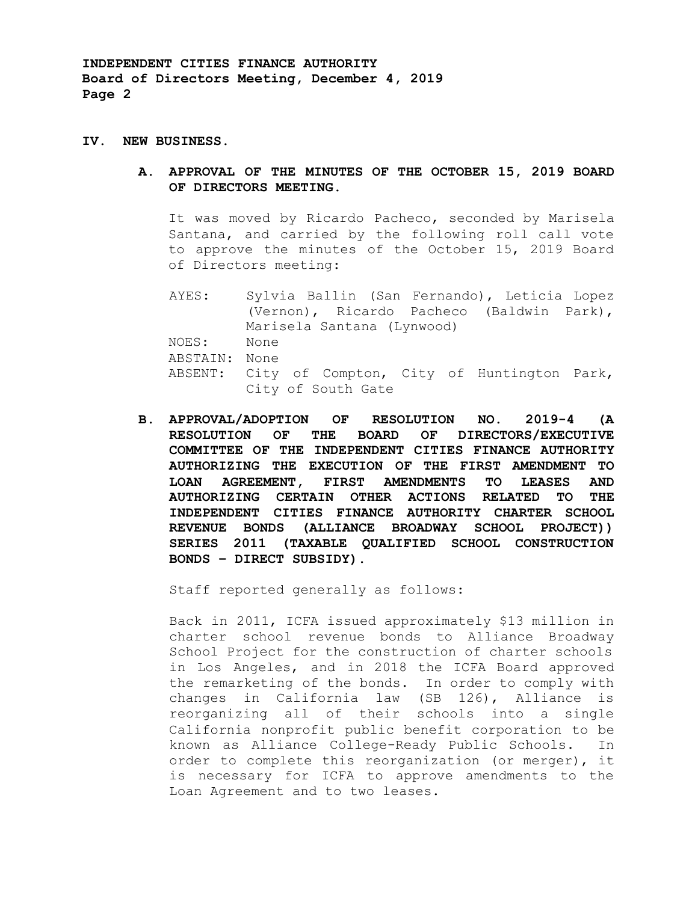**INDEPENDENT CITIES FINANCE AUTHORITY Board of Directors Meeting, December 4, 2019 Page 2** 

### **IV. NEW BUSINESS.**

**A. APPROVAL OF THE MINUTES OF THE OCTOBER 15, 2019 BOARD OF DIRECTORS MEETING.** 

It was moved by Ricardo Pacheco, seconded by Marisela Santana, and carried by the following roll call vote to approve the minutes of the October 15, 2019 Board of Directors meeting:

AYES: Sylvia Ballin (San Fernando), Leticia Lopez (Vernon), Ricardo Pacheco (Baldwin Park), Marisela Santana (Lynwood) NOES: None ABSTAIN: None ABSENT: City of Compton, City of Huntington Park, City of South Gate

**B. APPROVAL/ADOPTION OF RESOLUTION NO. 2019-4 (A RESOLUTION OF THE BOARD OF DIRECTORS/EXECUTIVE COMMITTEE OF THE INDEPENDENT CITIES FINANCE AUTHORITY AUTHORIZING THE EXECUTION OF THE FIRST AMENDMENT TO LOAN AGREEMENT, FIRST AMENDMENTS TO LEASES AND AUTHORIZING CERTAIN OTHER ACTIONS RELATED TO THE INDEPENDENT CITIES FINANCE AUTHORITY CHARTER SCHOOL REVENUE BONDS (ALLIANCE BROADWAY SCHOOL PROJECT)) SERIES 2011 (TAXABLE QUALIFIED SCHOOL CONSTRUCTION BONDS – DIRECT SUBSIDY).** 

Staff reported generally as follows:

Back in 2011, ICFA issued approximately \$13 million in charter school revenue bonds to Alliance Broadway School Project for the construction of charter schools in Los Angeles, and in 2018 the ICFA Board approved the remarketing of the bonds. In order to comply with changes in California law (SB 126), Alliance is reorganizing all of their schools into a single California nonprofit public benefit corporation to be known as Alliance College-Ready Public Schools. In order to complete this reorganization (or merger), it is necessary for ICFA to approve amendments to the Loan Agreement and to two leases.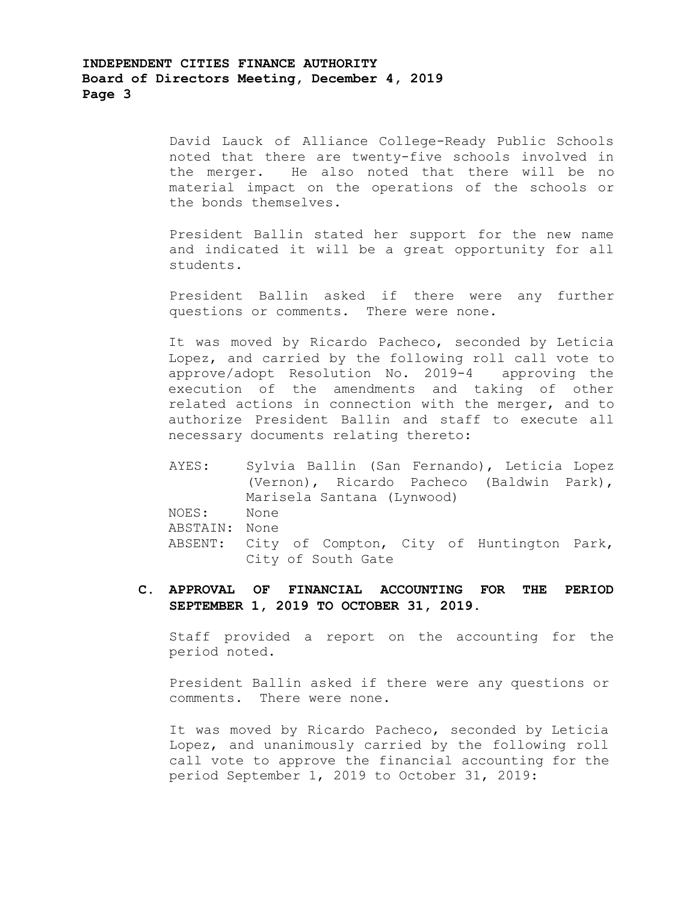# **INDEPENDENT CITIES FINANCE AUTHORITY Board of Directors Meeting, December 4, 2019 Page 3**

David Lauck of Alliance College-Ready Public Schools noted that there are twenty-five schools involved in the merger. He also noted that there will be no material impact on the operations of the schools or the bonds themselves.

President Ballin stated her support for the new name and indicated it will be a great opportunity for all students.

President Ballin asked if there were any further questions or comments. There were none.

It was moved by Ricardo Pacheco, seconded by Leticia Lopez, and carried by the following roll call vote to approve/adopt Resolution No. 2019-4 approving the execution of the amendments and taking of other related actions in connection with the merger, and to authorize President Ballin and staff to execute all necessary documents relating thereto:

```
AYES: Sylvia Ballin (San Fernando), Leticia Lopez 
         (Vernon), Ricardo Pacheco (Baldwin Park), 
        Marisela Santana (Lynwood) 
NOES: None 
ABSTAIN: None 
ABSENT: City of Compton, City of Huntington Park, 
        City of South Gate
```
**C. APPROVAL OF FINANCIAL ACCOUNTING FOR THE PERIOD SEPTEMBER 1, 2019 TO OCTOBER 31, 2019.** 

Staff provided a report on the accounting for the period noted.

President Ballin asked if there were any questions or comments. There were none.

It was moved by Ricardo Pacheco, seconded by Leticia Lopez, and unanimously carried by the following roll call vote to approve the financial accounting for the period September 1, 2019 to October 31, 2019: